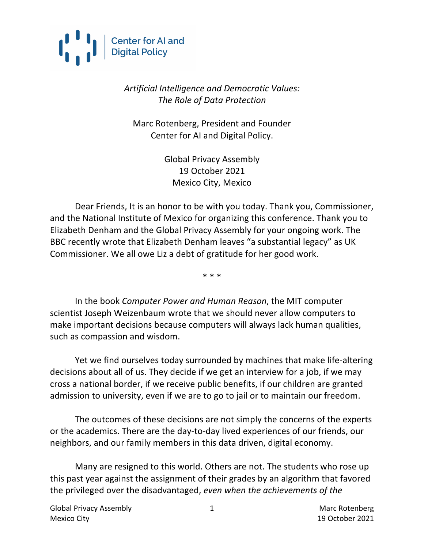

#### *Artificial Intelligence and Democratic Values: The Role of Data Protection*

Marc Rotenberg, President and Founder Center for AI and Digital Policy.

> Global Privacy Assembly 19 October 2021 Mexico City, Mexico

Dear Friends, It is an honor to be with you today. Thank you, Commissioner, and the National Institute of Mexico for organizing this conference. Thank you to Elizabeth Denham and the Global Privacy Assembly for your ongoing work. The BBC recently wrote that Elizabeth Denham leaves "a substantial legacy" as UK Commissioner. We all owe Liz a debt of gratitude for her good work.

\* \* \*

In the book *Computer Power and Human Reason*, the MIT computer scientist Joseph Weizenbaum wrote that we should never allow computers to make important decisions because computers will always lack human qualities, such as compassion and wisdom.

Yet we find ourselves today surrounded by machines that make life-altering decisions about all of us. They decide if we get an interview for a job, if we may cross a national border, if we receive public benefits, if our children are granted admission to university, even if we are to go to jail or to maintain our freedom.

The outcomes of these decisions are not simply the concerns of the experts or the academics. There are the day-to-day lived experiences of our friends, our neighbors, and our family members in this data driven, digital economy.

Many are resigned to this world. Others are not. The students who rose up this past year against the assignment of their grades by an algorithm that favored the privileged over the disadvantaged, *even when the achievements of the* 

1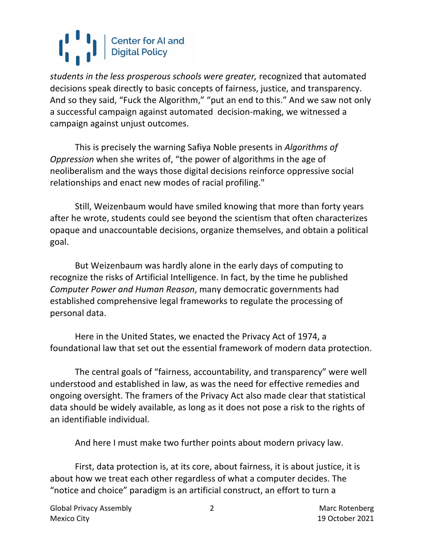*students in the less prosperous schools were greater,* recognized that automated decisions speak directly to basic concepts of fairness, justice, and transparency. And so they said, "Fuck the Algorithm," "put an end to this." And we saw not only a successful campaign against automated decision-making, we witnessed a campaign against unjust outcomes.

This is precisely the warning Safiya Noble presents in *Algorithms of Oppression* when she writes of, "the power of algorithms in the age of neoliberalism and the ways those digital decisions reinforce oppressive social relationships and enact new modes of racial profiling."

Still, Weizenbaum would have smiled knowing that more than forty years after he wrote, students could see beyond the scientism that often characterizes opaque and unaccountable decisions, organize themselves, and obtain a political goal.

But Weizenbaum was hardly alone in the early days of computing to recognize the risks of Artificial Intelligence. In fact, by the time he published *Computer Power and Human Reason*, many democratic governments had established comprehensive legal frameworks to regulate the processing of personal data.

Here in the United States, we enacted the Privacy Act of 1974, a foundational law that set out the essential framework of modern data protection.

The central goals of "fairness, accountability, and transparency" were well understood and established in law, as was the need for effective remedies and ongoing oversight. The framers of the Privacy Act also made clear that statistical data should be widely available, as long as it does not pose a risk to the rights of an identifiable individual.

And here I must make two further points about modern privacy law.

First, data protection is, at its core, about fairness, it is about justice, it is about how we treat each other regardless of what a computer decides. The "notice and choice" paradigm is an artificial construct, an effort to turn a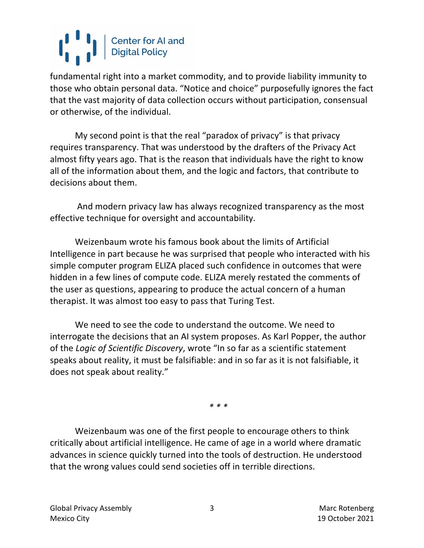fundamental right into a market commodity, and to provide liability immunity to those who obtain personal data. "Notice and choice" purposefully ignores the fact that the vast majority of data collection occurs without participation, consensual or otherwise, of the individual.

My second point is that the real "paradox of privacy" is that privacy requires transparency. That was understood by the drafters of the Privacy Act almost fifty years ago. That is the reason that individuals have the right to know all of the information about them, and the logic and factors, that contribute to decisions about them.

And modern privacy law has always recognized transparency as the most effective technique for oversight and accountability.

Weizenbaum wrote his famous book about the limits of Artificial Intelligence in part because he was surprised that people who interacted with his simple computer program ELIZA placed such confidence in outcomes that were hidden in a few lines of compute code. ELIZA merely restated the comments of the user as questions, appearing to produce the actual concern of a human therapist. It was almost too easy to pass that Turing Test.

We need to see the code to understand the outcome. We need to interrogate the decisions that an AI system proposes. As Karl Popper, the author of the *Logic of Scientific Discovery*, wrote "In so far as a scientific statement speaks about reality, it must be falsifiable: and in so far as it is not falsifiable, it does not speak about reality."

*\* \* \**

Weizenbaum was one of the first people to encourage others to think critically about artificial intelligence. He came of age in a world where dramatic advances in science quickly turned into the tools of destruction. He understood that the wrong values could send societies off in terrible directions.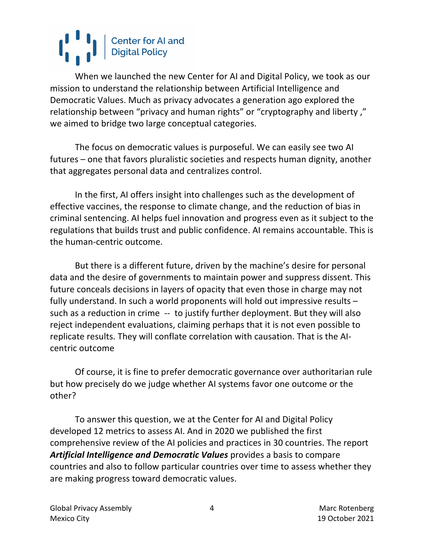When we launched the new Center for AI and Digital Policy, we took as our mission to understand the relationship between Artificial Intelligence and Democratic Values. Much as privacy advocates a generation ago explored the relationship between "privacy and human rights" or "cryptography and liberty ," we aimed to bridge two large conceptual categories.

The focus on democratic values is purposeful. We can easily see two AI futures – one that favors pluralistic societies and respects human dignity, another that aggregates personal data and centralizes control.

In the first, AI offers insight into challenges such as the development of effective vaccines, the response to climate change, and the reduction of bias in criminal sentencing. AI helps fuel innovation and progress even as it subject to the regulations that builds trust and public confidence. AI remains accountable. This is the human-centric outcome.

But there is a different future, driven by the machine's desire for personal data and the desire of governments to maintain power and suppress dissent. This future conceals decisions in layers of opacity that even those in charge may not fully understand. In such a world proponents will hold out impressive results – such as a reduction in crime -- to justify further deployment. But they will also reject independent evaluations, claiming perhaps that it is not even possible to replicate results. They will conflate correlation with causation. That is the AIcentric outcome

Of course, it is fine to prefer democratic governance over authoritarian rule but how precisely do we judge whether AI systems favor one outcome or the other?

To answer this question, we at the Center for AI and Digital Policy developed 12 metrics to assess AI. And in 2020 we published the first comprehensive review of the AI policies and practices in 30 countries. The report *Artificial Intelligence and Democratic Values* provides a basis to compare countries and also to follow particular countries over time to assess whether they are making progress toward democratic values.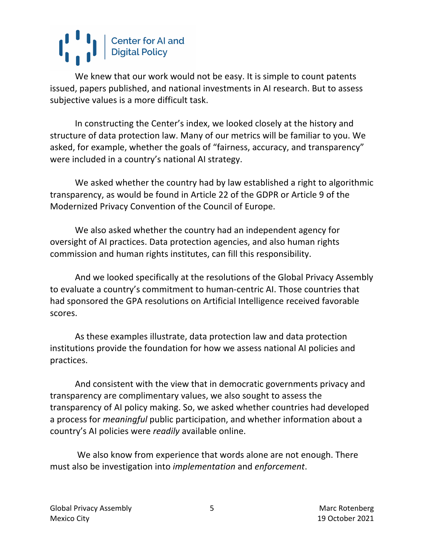We knew that our work would not be easy. It is simple to count patents issued, papers published, and national investments in AI research. But to assess subjective values is a more difficult task.

In constructing the Center's index, we looked closely at the history and structure of data protection law. Many of our metrics will be familiar to you. We asked, for example, whether the goals of "fairness, accuracy, and transparency" were included in a country's national AI strategy.

We asked whether the country had by law established a right to algorithmic transparency, as would be found in Article 22 of the GDPR or Article 9 of the Modernized Privacy Convention of the Council of Europe.

We also asked whether the country had an independent agency for oversight of AI practices. Data protection agencies, and also human rights commission and human rights institutes, can fill this responsibility.

And we looked specifically at the resolutions of the Global Privacy Assembly to evaluate a country's commitment to human-centric AI. Those countries that had sponsored the GPA resolutions on Artificial Intelligence received favorable scores.

As these examples illustrate, data protection law and data protection institutions provide the foundation for how we assess national AI policies and practices.

And consistent with the view that in democratic governments privacy and transparency are complimentary values, we also sought to assess the transparency of AI policy making. So, we asked whether countries had developed a process for *meaningful* public participation, and whether information about a country's AI policies were *readily* available online.

We also know from experience that words alone are not enough. There must also be investigation into *implementation* and *enforcement*.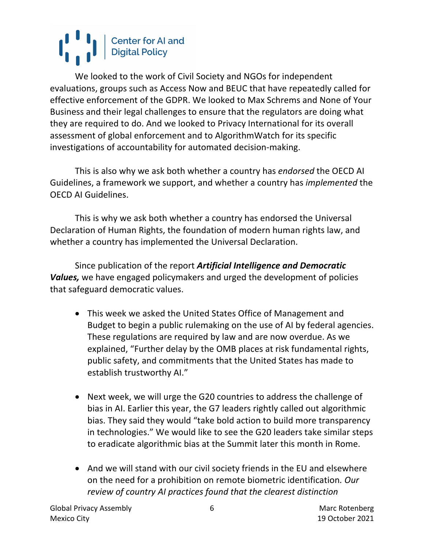We looked to the work of Civil Society and NGOs for independent evaluations, groups such as Access Now and BEUC that have repeatedly called for effective enforcement of the GDPR. We looked to Max Schrems and None of Your Business and their legal challenges to ensure that the regulators are doing what they are required to do. And we looked to Privacy International for its overall assessment of global enforcement and to AlgorithmWatch for its specific investigations of accountability for automated decision-making.

This is also why we ask both whether a country has *endorsed* the OECD AI Guidelines, a framework we support, and whether a country has *implemented* the OECD AI Guidelines.

This is why we ask both whether a country has endorsed the Universal Declaration of Human Rights, the foundation of modern human rights law, and whether a country has implemented the Universal Declaration.

Since publication of the report *Artificial Intelligence and Democratic Values,* we have engaged policymakers and urged the development of policies that safeguard democratic values.

- This week we asked the United States Office of Management and Budget to begin a public rulemaking on the use of AI by federal agencies. These regulations are required by law and are now overdue. As we explained, "Further delay by the OMB places at risk fundamental rights, public safety, and commitments that the United States has made to establish trustworthy AI."
- Next week, we will urge the G20 countries to address the challenge of bias in AI. Earlier this year, the G7 leaders rightly called out algorithmic bias. They said they would "take bold action to build more transparency in technologies." We would like to see the G20 leaders take similar steps to eradicate algorithmic bias at the Summit later this month in Rome.
- And we will stand with our civil society friends in the EU and elsewhere on the need for a prohibition on remote biometric identification*. Our review of country AI practices found that the clearest distinction*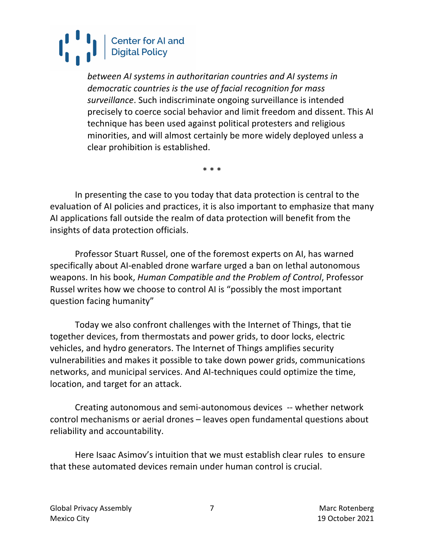*between AI systems in authoritarian countries and AI systems in democratic countries is the use of facial recognition for mass surveillance*. Such indiscriminate ongoing surveillance is intended precisely to coerce social behavior and limit freedom and dissent. This AI technique has been used against political protesters and religious minorities, and will almost certainly be more widely deployed unless a clear prohibition is established.

\* \* \*

In presenting the case to you today that data protection is central to the evaluation of AI policies and practices, it is also important to emphasize that many AI applications fall outside the realm of data protection will benefit from the insights of data protection officials.

Professor Stuart Russel, one of the foremost experts on AI, has warned specifically about AI-enabled drone warfare urged a ban on lethal autonomous weapons. In his book, *Human Compatible and the Problem of Control*, Professor Russel writes how we choose to control AI is "possibly the most important question facing humanity"

Today we also confront challenges with the Internet of Things, that tie together devices, from thermostats and power grids, to door locks, electric vehicles, and hydro generators. The Internet of Things amplifies security vulnerabilities and makes it possible to take down power grids, communications networks, and municipal services. And AI-techniques could optimize the time, location, and target for an attack.

Creating autonomous and semi-autonomous devices -- whether network control mechanisms or aerial drones – leaves open fundamental questions about reliability and accountability.

Here Isaac Asimov's intuition that we must establish clear rules to ensure that these automated devices remain under human control is crucial.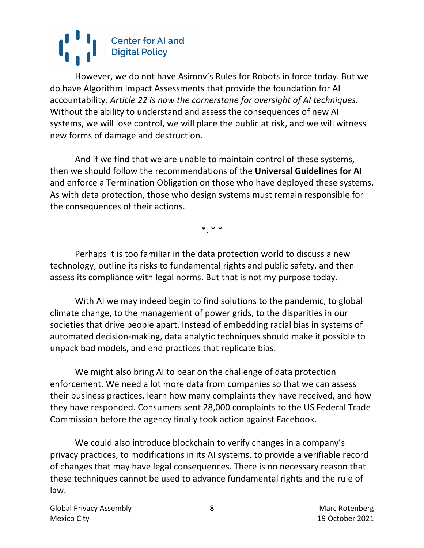However, we do not have Asimov's Rules for Robots in force today. But we do have Algorithm Impact Assessments that provide the foundation for AI accountability. *Article 22 is now the cornerstone for oversight of AI techniques.* Without the ability to understand and assess the consequences of new AI systems, we will lose control, we will place the public at risk, and we will witness new forms of damage and destruction.

And if we find that we are unable to maintain control of these systems, then we should follow the recommendations of the **Universal Guidelines for AI** and enforce a Termination Obligation on those who have deployed these systems. As with data protection, those who design systems must remain responsible for the consequences of their actions.

\*. \* \*

Perhaps it is too familiar in the data protection world to discuss a new technology, outline its risks to fundamental rights and public safety, and then assess its compliance with legal norms. But that is not my purpose today.

With AI we may indeed begin to find solutions to the pandemic, to global climate change, to the management of power grids, to the disparities in our societies that drive people apart. Instead of embedding racial bias in systems of automated decision-making, data analytic techniques should make it possible to unpack bad models, and end practices that replicate bias.

We might also bring AI to bear on the challenge of data protection enforcement. We need a lot more data from companies so that we can assess their business practices, learn how many complaints they have received, and how they have responded. Consumers sent 28,000 complaints to the US Federal Trade Commission before the agency finally took action against Facebook.

We could also introduce blockchain to verify changes in a company's privacy practices, to modifications in its AI systems, to provide a verifiable record of changes that may have legal consequences. There is no necessary reason that these techniques cannot be used to advance fundamental rights and the rule of law.